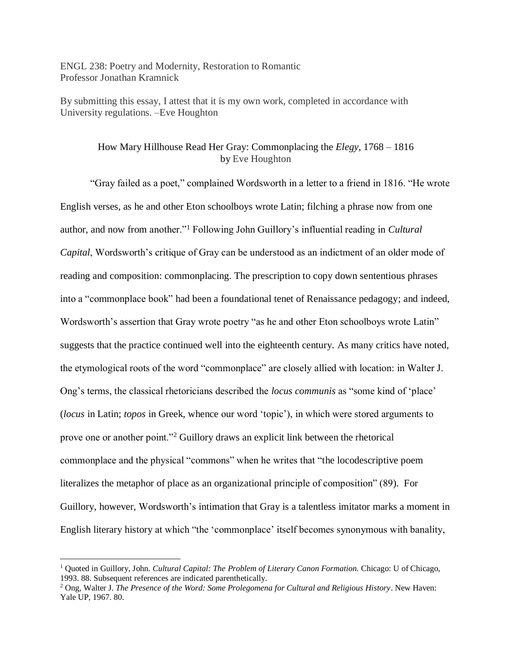ENGL 238: Poetry and Modernity, Restoration to Romantic Professor Jonathan Kramnick

By submitting this essay, I attest that it is my own work, completed in accordance with University regulations. –Eve Houghton

## How Mary Hillhouse Read Her Gray: Commonplacing the *Elegy*, 1768 – 1816 by Eve Houghton

"Gray failed as a poet," complained Wordsworth in a letter to a friend in 1816. "He wrote English verses, as he and other Eton schoolboys wrote Latin; filching a phrase now from one author, and now from another."<sup>1</sup> Following John Guillory's influential reading in *Cultural Capital*, Wordsworth's critique of Gray can be understood as an indictment of an older mode of reading and composition: commonplacing. The prescription to copy down sententious phrases into a "commonplace book" had been a foundational tenet of Renaissance pedagogy; and indeed, Wordsworth's assertion that Gray wrote poetry "as he and other Eton schoolboys wrote Latin" suggests that the practice continued well into the eighteenth century. As many critics have noted, the etymological roots of the word "commonplace" are closely allied with location: in Walter J. Ong's terms, the classical rhetoricians described the *locus communis* as "some kind of 'place' (*locus* in Latin; *topos* in Greek, whence our word 'topic'), in which were stored arguments to prove one or another point."<sup>2</sup> Guillory draws an explicit link between the rhetorical commonplace and the physical "commons" when he writes that "the locodescriptive poem literalizes the metaphor of place as an organizational principle of composition" (89). For Guillory, however, Wordsworth's intimation that Gray is a talentless imitator marks a moment in English literary history at which "the 'commonplace' itself becomes synonymous with banality,

<sup>1</sup> Quoted in Guillory, John. *Cultural Capital: The Problem of Literary Canon Formation.* Chicago: U of Chicago, 1993. 88. Subsequent references are indicated parenthetically.

<sup>2</sup> Ong, Walter J. *The Presence of the Word: Some Prolegomena for Cultural and Religious History*. New Haven: Yale UP, 1967. 80.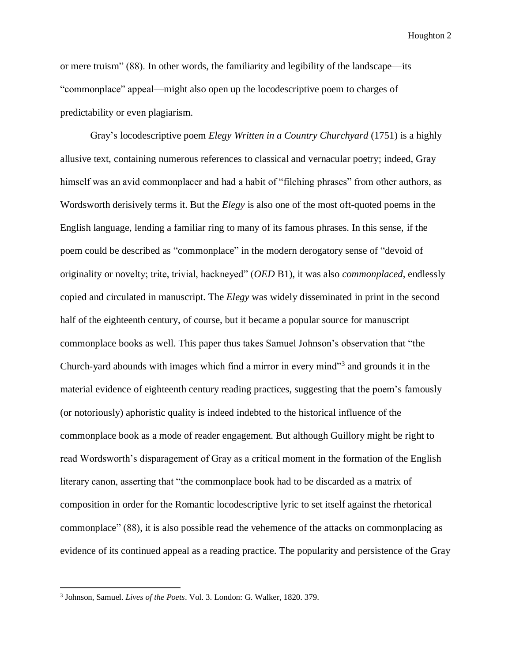or mere truism" (88). In other words, the familiarity and legibility of the landscape—its "commonplace" appeal—might also open up the locodescriptive poem to charges of predictability or even plagiarism.

Gray's locodescriptive poem *Elegy Written in a Country Churchyard* (1751) is a highly allusive text, containing numerous references to classical and vernacular poetry; indeed, Gray himself was an avid commonplacer and had a habit of "filching phrases" from other authors, as Wordsworth derisively terms it. But the *Elegy* is also one of the most oft-quoted poems in the English language, lending a familiar ring to many of its famous phrases. In this sense, if the poem could be described as "commonplace" in the modern derogatory sense of "devoid of originality or novelty; trite, trivial, hackneyed" (*OED* B1), it was also *commonplaced*, endlessly copied and circulated in manuscript. The *Elegy* was widely disseminated in print in the second half of the eighteenth century, of course, but it became a popular source for manuscript commonplace books as well. This paper thus takes Samuel Johnson's observation that "the Church-yard abounds with images which find a mirror in every mind"<sup>3</sup> and grounds it in the material evidence of eighteenth century reading practices, suggesting that the poem's famously (or notoriously) aphoristic quality is indeed indebted to the historical influence of the commonplace book as a mode of reader engagement. But although Guillory might be right to read Wordsworth's disparagement of Gray as a critical moment in the formation of the English literary canon, asserting that "the commonplace book had to be discarded as a matrix of composition in order for the Romantic locodescriptive lyric to set itself against the rhetorical commonplace" (88), it is also possible read the vehemence of the attacks on commonplacing as evidence of its continued appeal as a reading practice. The popularity and persistence of the Gray

l

<sup>3</sup> Johnson, Samuel. *Lives of the Poets*. Vol. 3. London: G. Walker, 1820. 379.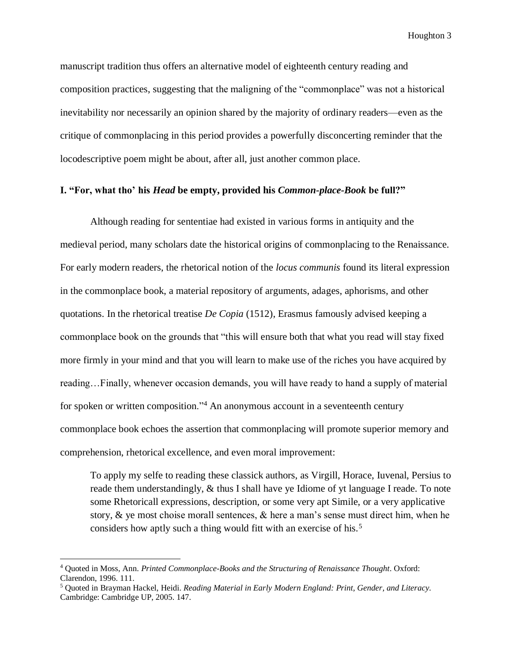manuscript tradition thus offers an alternative model of eighteenth century reading and composition practices, suggesting that the maligning of the "commonplace" was not a historical inevitability nor necessarily an opinion shared by the majority of ordinary readers—even as the critique of commonplacing in this period provides a powerfully disconcerting reminder that the locodescriptive poem might be about, after all, just another common place.

### **I. "For, what tho' his** *Head* **be empty, provided his** *Common-place-Book* **be full?"**

Although reading for sententiae had existed in various forms in antiquity and the medieval period, many scholars date the historical origins of commonplacing to the Renaissance. For early modern readers, the rhetorical notion of the *locus communis* found its literal expression in the commonplace book, a material repository of arguments, adages, aphorisms, and other quotations. In the rhetorical treatise *De Copia* (1512), Erasmus famously advised keeping a commonplace book on the grounds that "this will ensure both that what you read will stay fixed more firmly in your mind and that you will learn to make use of the riches you have acquired by reading…Finally, whenever occasion demands, you will have ready to hand a supply of material for spoken or written composition."<sup>4</sup> An anonymous account in a seventeenth century commonplace book echoes the assertion that commonplacing will promote superior memory and comprehension, rhetorical excellence, and even moral improvement:

To apply my selfe to reading these classick authors, as Virgill, Horace, Iuvenal, Persius to reade them understandingly, & thus I shall have ye Idiome of yt language I reade. To note some Rhetoricall expressions, description, or some very apt Simile, or a very applicative story, & ye most choise morall sentences, & here a man's sense must direct him, when he considers how aptly such a thing would fitt with an exercise of his.<sup>5</sup>

<sup>4</sup> Quoted in Moss, Ann. *Printed Commonplace-Books and the Structuring of Renaissance Thought*. Oxford: Clarendon, 1996. 111.

<sup>5</sup> Quoted in Brayman Hackel, Heidi. *Reading Material in Early Modern England: Print, Gender, and Literacy.* Cambridge: Cambridge UP, 2005. 147.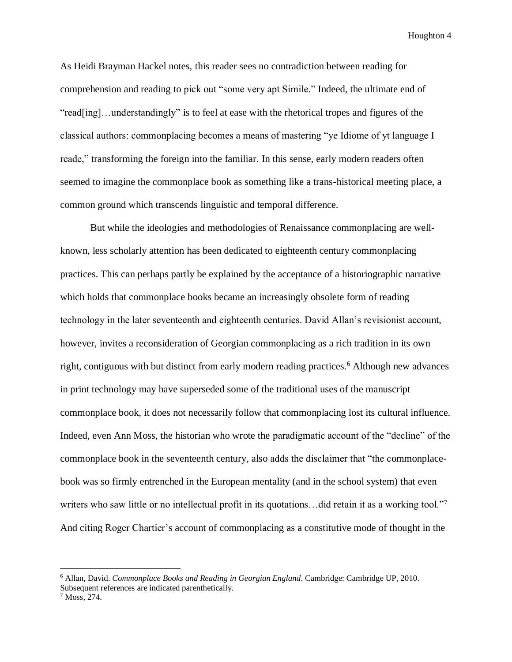As Heidi Brayman Hackel notes, this reader sees no contradiction between reading for comprehension and reading to pick out "some very apt Simile." Indeed, the ultimate end of "read[ing]…understandingly" is to feel at ease with the rhetorical tropes and figures of the classical authors: commonplacing becomes a means of mastering "ye Idiome of yt language I reade," transforming the foreign into the familiar. In this sense, early modern readers often seemed to imagine the commonplace book as something like a trans-historical meeting place, a common ground which transcends linguistic and temporal difference.

But while the ideologies and methodologies of Renaissance commonplacing are wellknown, less scholarly attention has been dedicated to eighteenth century commonplacing practices. This can perhaps partly be explained by the acceptance of a historiographic narrative which holds that commonplace books became an increasingly obsolete form of reading technology in the later seventeenth and eighteenth centuries. David Allan's revisionist account, however, invites a reconsideration of Georgian commonplacing as a rich tradition in its own right, contiguous with but distinct from early modern reading practices.<sup>6</sup> Although new advances in print technology may have superseded some of the traditional uses of the manuscript commonplace book, it does not necessarily follow that commonplacing lost its cultural influence. Indeed, even Ann Moss, the historian who wrote the paradigmatic account of the "decline" of the commonplace book in the seventeenth century, also adds the disclaimer that "the commonplacebook was so firmly entrenched in the European mentality (and in the school system) that even writers who saw little or no intellectual profit in its quotations...did retain it as a working tool."<sup>7</sup> And citing Roger Chartier's account of commonplacing as a constitutive mode of thought in the

<sup>6</sup> Allan, David. *Commonplace Books and Reading in Georgian England*. Cambridge: Cambridge UP, 2010. Subsequent references are indicated parenthetically.

<sup>7</sup> Moss, 274.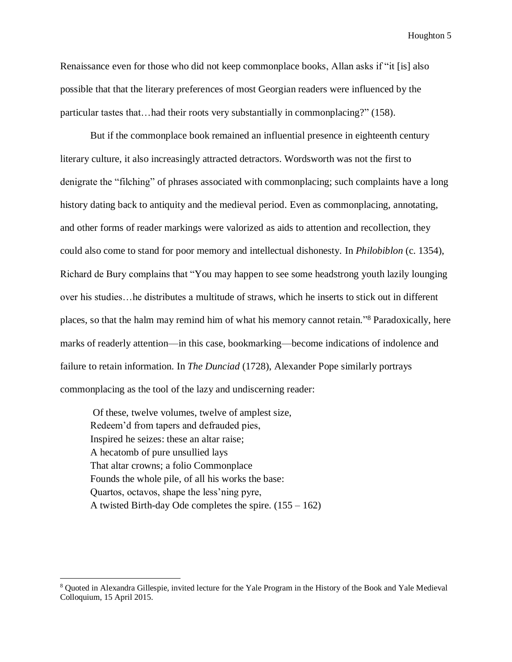Renaissance even for those who did not keep commonplace books, Allan asks if "it [is] also possible that that the literary preferences of most Georgian readers were influenced by the particular tastes that…had their roots very substantially in commonplacing?" (158).

But if the commonplace book remained an influential presence in eighteenth century literary culture, it also increasingly attracted detractors. Wordsworth was not the first to denigrate the "filching" of phrases associated with commonplacing; such complaints have a long history dating back to antiquity and the medieval period. Even as commonplacing, annotating, and other forms of reader markings were valorized as aids to attention and recollection, they could also come to stand for poor memory and intellectual dishonesty. In *Philobiblon* (c. 1354), Richard de Bury complains that "You may happen to see some headstrong youth lazily lounging over his studies…he distributes a multitude of straws, which he inserts to stick out in different places, so that the halm may remind him of what his memory cannot retain." <sup>8</sup> Paradoxically, here marks of readerly attention—in this case, bookmarking—become indications of indolence and failure to retain information. In *The Dunciad* (1728), Alexander Pope similarly portrays commonplacing as the tool of the lazy and undiscerning reader:

Of these, twelve volumes, twelve of amplest size, Redeem'd from tapers and defrauded pies, Inspired he seizes: these an altar raise; A hecatomb of pure unsullied lays That altar crowns; a folio Commonplace Founds the whole pile, of all his works the base: Quartos, octavos, shape the less'ning pyre, A twisted Birth-day Ode completes the spire. (155 – 162)

<sup>8</sup> Quoted in Alexandra Gillespie, invited lecture for the Yale Program in the History of the Book and Yale Medieval Colloquium, 15 April 2015.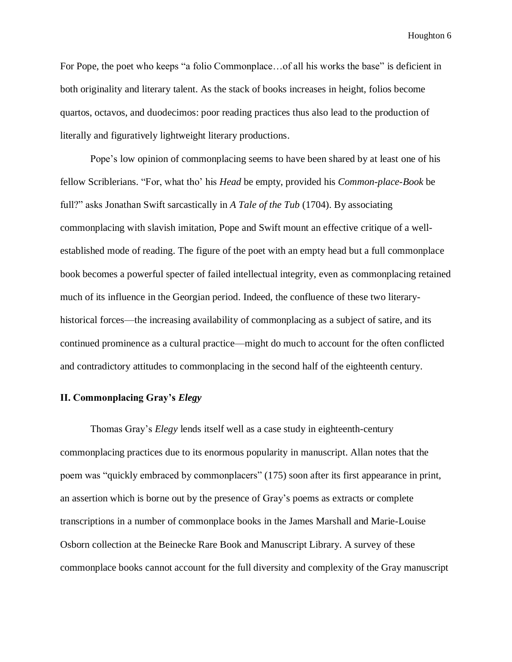For Pope, the poet who keeps "a folio Commonplace...of all his works the base" is deficient in both originality and literary talent. As the stack of books increases in height, folios become quartos, octavos, and duodecimos: poor reading practices thus also lead to the production of literally and figuratively lightweight literary productions.

Pope's low opinion of commonplacing seems to have been shared by at least one of his fellow Scriblerians. "For, what tho' his *Head* be empty, provided his *Common-place-Book* be full?" asks Jonathan Swift sarcastically in *A Tale of the Tub* (1704). By associating commonplacing with slavish imitation, Pope and Swift mount an effective critique of a wellestablished mode of reading. The figure of the poet with an empty head but a full commonplace book becomes a powerful specter of failed intellectual integrity, even as commonplacing retained much of its influence in the Georgian period. Indeed, the confluence of these two literaryhistorical forces—the increasing availability of commonplacing as a subject of satire, and its continued prominence as a cultural practice—might do much to account for the often conflicted and contradictory attitudes to commonplacing in the second half of the eighteenth century.

### **II. Commonplacing Gray's** *Elegy*

Thomas Gray's *Elegy* lends itself well as a case study in eighteenth-century commonplacing practices due to its enormous popularity in manuscript. Allan notes that the poem was "quickly embraced by commonplacers" (175) soon after its first appearance in print, an assertion which is borne out by the presence of Gray's poems as extracts or complete transcriptions in a number of commonplace books in the James Marshall and Marie-Louise Osborn collection at the Beinecke Rare Book and Manuscript Library. A survey of these commonplace books cannot account for the full diversity and complexity of the Gray manuscript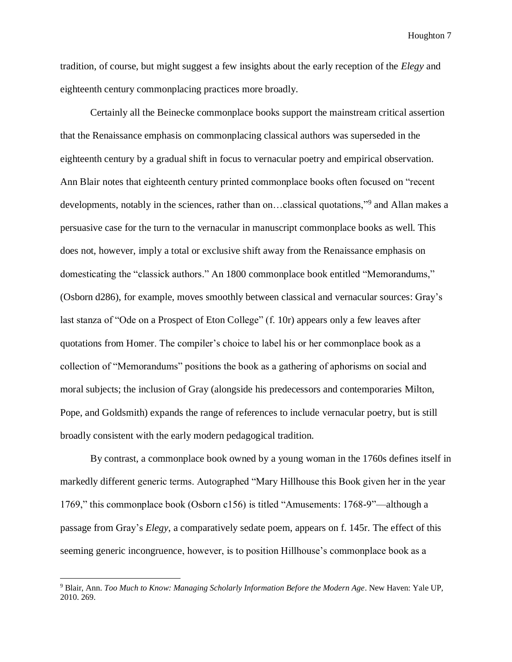tradition, of course, but might suggest a few insights about the early reception of the *Elegy* and eighteenth century commonplacing practices more broadly.

Certainly all the Beinecke commonplace books support the mainstream critical assertion that the Renaissance emphasis on commonplacing classical authors was superseded in the eighteenth century by a gradual shift in focus to vernacular poetry and empirical observation. Ann Blair notes that eighteenth century printed commonplace books often focused on "recent developments, notably in the sciences, rather than on...classical quotations,"<sup>9</sup> and Allan makes a persuasive case for the turn to the vernacular in manuscript commonplace books as well. This does not, however, imply a total or exclusive shift away from the Renaissance emphasis on domesticating the "classick authors." An 1800 commonplace book entitled "Memorandums," (Osborn d286), for example, moves smoothly between classical and vernacular sources: Gray's last stanza of "Ode on a Prospect of Eton College" (f. 10r) appears only a few leaves after quotations from Homer. The compiler's choice to label his or her commonplace book as a collection of "Memorandums" positions the book as a gathering of aphorisms on social and moral subjects; the inclusion of Gray (alongside his predecessors and contemporaries Milton, Pope, and Goldsmith) expands the range of references to include vernacular poetry, but is still broadly consistent with the early modern pedagogical tradition.

By contrast, a commonplace book owned by a young woman in the 1760s defines itself in markedly different generic terms. Autographed "Mary Hillhouse this Book given her in the year 1769," this commonplace book (Osborn c156) is titled "Amusements: 1768-9"—although a passage from Gray's *Elegy*, a comparatively sedate poem, appears on f. 145r. The effect of this seeming generic incongruence, however, is to position Hillhouse's commonplace book as a

<sup>9</sup> Blair, Ann. *Too Much to Know: Managing Scholarly Information Before the Modern Age*. New Haven: Yale UP, 2010. 269.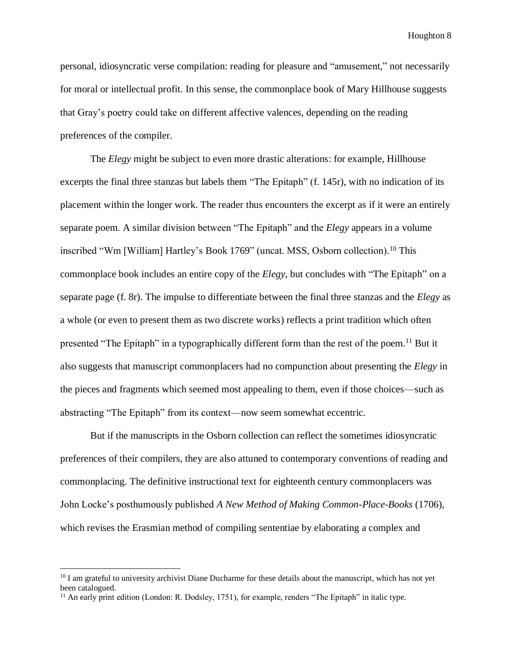personal, idiosyncratic verse compilation: reading for pleasure and "amusement," not necessarily for moral or intellectual profit. In this sense, the commonplace book of Mary Hillhouse suggests that Gray's poetry could take on different affective valences, depending on the reading preferences of the compiler.

The *Elegy* might be subject to even more drastic alterations: for example, Hillhouse excerpts the final three stanzas but labels them "The Epitaph" (f. 145r), with no indication of its placement within the longer work. The reader thus encounters the excerpt as if it were an entirely separate poem. A similar division between "The Epitaph" and the *Elegy* appears in a volume inscribed "Wm [William] Hartley's Book 1769" (uncat. MSS, Osborn collection).<sup>10</sup> This commonplace book includes an entire copy of the *Elegy*, but concludes with "The Epitaph" on a separate page (f. 8r). The impulse to differentiate between the final three stanzas and the *Elegy* as a whole (or even to present them as two discrete works) reflects a print tradition which often presented "The Epitaph" in a typographically different form than the rest of the poem.<sup>11</sup> But it also suggests that manuscript commonplacers had no compunction about presenting the *Elegy* in the pieces and fragments which seemed most appealing to them, even if those choices—such as abstracting "The Epitaph" from its context—now seem somewhat eccentric.

But if the manuscripts in the Osborn collection can reflect the sometimes idiosyncratic preferences of their compilers, they are also attuned to contemporary conventions of reading and commonplacing. The definitive instructional text for eighteenth century commonplacers was John Locke's posthumously published *A New Method of Making Common-Place-Books* (1706), which revises the Erasmian method of compiling sententiae by elaborating a complex and

 $10$  I am grateful to university archivist Diane Ducharme for these details about the manuscript, which has not yet been catalogued.

 $<sup>11</sup>$  An early print edition (London: R. Dodsley, 1751), for example, renders "The Epitaph" in italic type.</sup>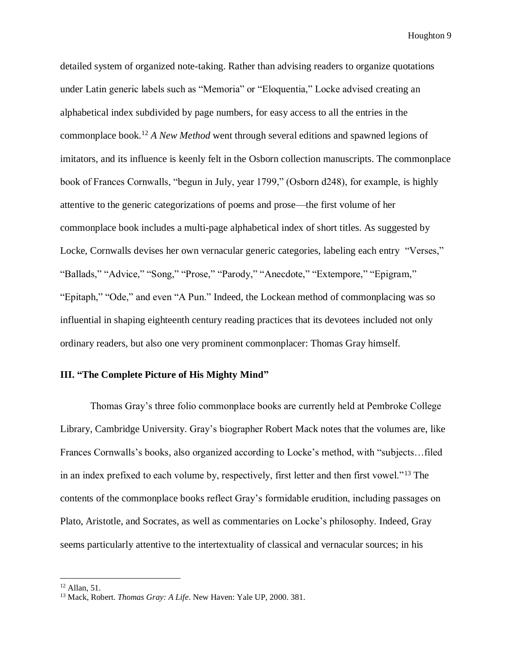detailed system of organized note-taking. Rather than advising readers to organize quotations under Latin generic labels such as "Memoria" or "Eloquentia," Locke advised creating an alphabetical index subdivided by page numbers, for easy access to all the entries in the commonplace book.<sup>12</sup> *A New Method* went through several editions and spawned legions of imitators, and its influence is keenly felt in the Osborn collection manuscripts. The commonplace book of Frances Cornwalls, "begun in July, year 1799," (Osborn d248), for example, is highly attentive to the generic categorizations of poems and prose—the first volume of her commonplace book includes a multi-page alphabetical index of short titles. As suggested by Locke, Cornwalls devises her own vernacular generic categories, labeling each entry "Verses," "Ballads," "Advice," "Song," "Prose," "Parody," "Anecdote," "Extempore," "Epigram," "Epitaph," "Ode," and even "A Pun." Indeed, the Lockean method of commonplacing was so influential in shaping eighteenth century reading practices that its devotees included not only ordinary readers, but also one very prominent commonplacer: Thomas Gray himself.

# **III. "The Complete Picture of His Mighty Mind"**

Thomas Gray's three folio commonplace books are currently held at Pembroke College Library, Cambridge University. Gray's biographer Robert Mack notes that the volumes are, like Frances Cornwalls's books, also organized according to Locke's method, with "subjects…filed in an index prefixed to each volume by, respectively, first letter and then first vowel."<sup>13</sup> The contents of the commonplace books reflect Gray's formidable erudition, including passages on Plato, Aristotle, and Socrates, as well as commentaries on Locke's philosophy. Indeed, Gray seems particularly attentive to the intertextuality of classical and vernacular sources; in his

<sup>12</sup> Allan, 51.

<sup>13</sup> Mack, Robert. *Thomas Gray: A Life*. New Haven: Yale UP, 2000. 381.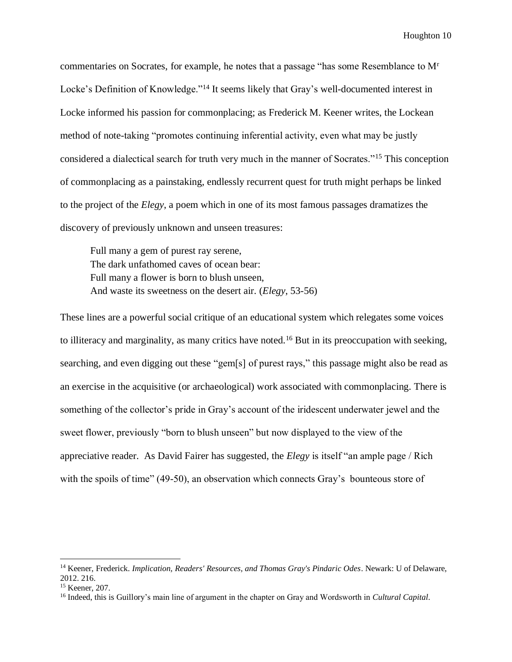commentaries on Socrates, for example, he notes that a passage "has some Resemblance to M<sup>r</sup> Locke's Definition of Knowledge."<sup>14</sup> It seems likely that Gray's well-documented interest in Locke informed his passion for commonplacing; as Frederick M. Keener writes, the Lockean method of note-taking "promotes continuing inferential activity, even what may be justly considered a dialectical search for truth very much in the manner of Socrates."<sup>15</sup> This conception of commonplacing as a painstaking, endlessly recurrent quest for truth might perhaps be linked to the project of the *Elegy*, a poem which in one of its most famous passages dramatizes the discovery of previously unknown and unseen treasures:

Full many a gem of purest ray serene, The dark unfathomed caves of ocean bear: Full many a flower is born to blush unseen, And waste its sweetness on the desert air. (*Elegy*, 53-56)

These lines are a powerful social critique of an educational system which relegates some voices to illiteracy and marginality, as many critics have noted.<sup>16</sup> But in its preoccupation with seeking, searching, and even digging out these "gem[s] of purest rays," this passage might also be read as an exercise in the acquisitive (or archaeological) work associated with commonplacing. There is something of the collector's pride in Gray's account of the iridescent underwater jewel and the sweet flower, previously "born to blush unseen" but now displayed to the view of the appreciative reader. As David Fairer has suggested, the *Elegy* is itself "an ample page / Rich with the spoils of time" (49-50), an observation which connects Gray's bounteous store of

<sup>14</sup> Keener, Frederick. *Implication, Readers' Resources, and Thomas Gray's Pindaric Odes*. Newark: U of Delaware, 2012. 216.

<sup>15</sup> Keener, 207.

<sup>16</sup> Indeed, this is Guillory's main line of argument in the chapter on Gray and Wordsworth in *Cultural Capital*.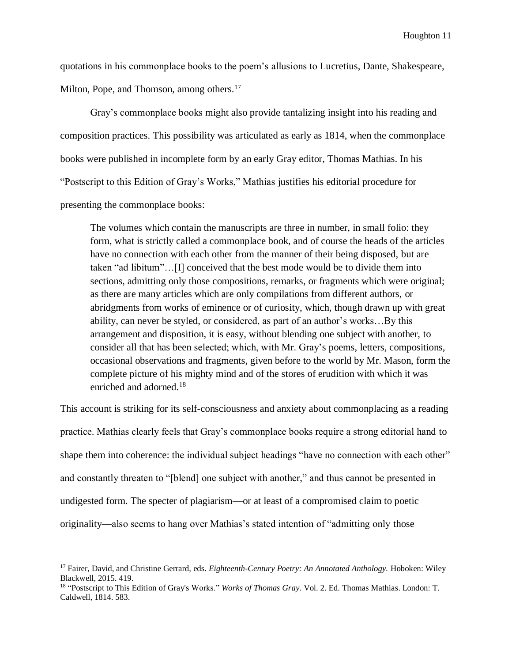quotations in his commonplace books to the poem's allusions to Lucretius, Dante, Shakespeare, Milton, Pope, and Thomson, among others.<sup>17</sup>

Gray's commonplace books might also provide tantalizing insight into his reading and composition practices. This possibility was articulated as early as 1814, when the commonplace books were published in incomplete form by an early Gray editor, Thomas Mathias. In his "Postscript to this Edition of Gray's Works," Mathias justifies his editorial procedure for presenting the commonplace books:

The volumes which contain the manuscripts are three in number, in small folio: they form, what is strictly called a commonplace book, and of course the heads of the articles have no connection with each other from the manner of their being disposed, but are taken "ad libitum"…[I] conceived that the best mode would be to divide them into sections, admitting only those compositions, remarks, or fragments which were original; as there are many articles which are only compilations from different authors, or abridgments from works of eminence or of curiosity, which, though drawn up with great ability, can never be styled, or considered, as part of an author's works…By this arrangement and disposition, it is easy, without blending one subject with another, to consider all that has been selected; which, with Mr. Gray's poems, letters, compositions, occasional observations and fragments, given before to the world by Mr. Mason, form the complete picture of his mighty mind and of the stores of erudition with which it was enriched and adorned.<sup>18</sup>

This account is striking for its self-consciousness and anxiety about commonplacing as a reading practice. Mathias clearly feels that Gray's commonplace books require a strong editorial hand to shape them into coherence: the individual subject headings "have no connection with each other" and constantly threaten to "[blend] one subject with another," and thus cannot be presented in undigested form. The specter of plagiarism—or at least of a compromised claim to poetic originality—also seems to hang over Mathias's stated intention of "admitting only those

<sup>17</sup> Fairer, David, and Christine Gerrard, eds. *Eighteenth-Century Poetry: An Annotated Anthology.* Hoboken: Wiley Blackwell, 2015. 419.

<sup>&</sup>lt;sup>18</sup> "Postscript to This Edition of Gray's Works." *Works of Thomas Gray*. Vol. 2. Ed. Thomas Mathias. London: T. Caldwell, 1814. 583.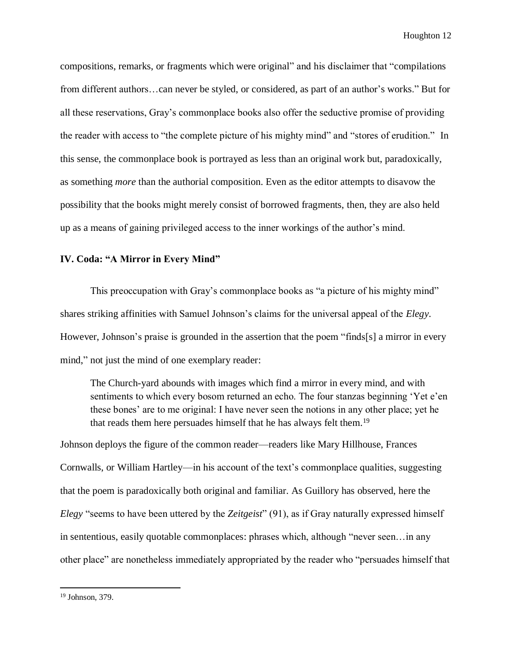compositions, remarks, or fragments which were original" and his disclaimer that "compilations from different authors…can never be styled, or considered, as part of an author's works." But for all these reservations, Gray's commonplace books also offer the seductive promise of providing the reader with access to "the complete picture of his mighty mind" and "stores of erudition." In this sense, the commonplace book is portrayed as less than an original work but, paradoxically, as something *more* than the authorial composition. Even as the editor attempts to disavow the possibility that the books might merely consist of borrowed fragments, then, they are also held up as a means of gaining privileged access to the inner workings of the author's mind.

### **IV. Coda: "A Mirror in Every Mind"**

This preoccupation with Gray's commonplace books as "a picture of his mighty mind" shares striking affinities with Samuel Johnson's claims for the universal appeal of the *Elegy*. However, Johnson's praise is grounded in the assertion that the poem "finds[s] a mirror in every mind," not just the mind of one exemplary reader:

The Church-yard abounds with images which find a mirror in every mind, and with sentiments to which every bosom returned an echo. The four stanzas beginning 'Yet e'en these bones' are to me original: I have never seen the notions in any other place; yet he that reads them here persuades himself that he has always felt them.<sup>19</sup>

Johnson deploys the figure of the common reader—readers like Mary Hillhouse, Frances Cornwalls, or William Hartley—in his account of the text's commonplace qualities, suggesting that the poem is paradoxically both original and familiar. As Guillory has observed, here the *Elegy* "seems to have been uttered by the *Zeitgeist*" (91), as if Gray naturally expressed himself in sententious, easily quotable commonplaces: phrases which, although "never seen…in any other place" are nonetheless immediately appropriated by the reader who "persuades himself that

l

<sup>19</sup> Johnson, 379.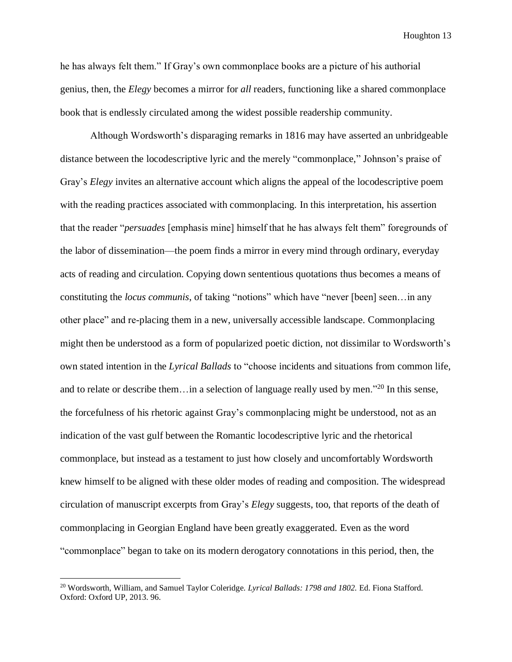he has always felt them." If Gray's own commonplace books are a picture of his authorial genius, then, the *Elegy* becomes a mirror for *all* readers, functioning like a shared commonplace book that is endlessly circulated among the widest possible readership community.

Although Wordsworth's disparaging remarks in 1816 may have asserted an unbridgeable distance between the locodescriptive lyric and the merely "commonplace," Johnson's praise of Gray's *Elegy* invites an alternative account which aligns the appeal of the locodescriptive poem with the reading practices associated with commonplacing. In this interpretation, his assertion that the reader "*persuades* [emphasis mine] himself that he has always felt them" foregrounds of the labor of dissemination—the poem finds a mirror in every mind through ordinary, everyday acts of reading and circulation. Copying down sententious quotations thus becomes a means of constituting the *locus communis*, of taking "notions" which have "never [been] seen…in any other place" and re-placing them in a new, universally accessible landscape. Commonplacing might then be understood as a form of popularized poetic diction, not dissimilar to Wordsworth's own stated intention in the *Lyrical Ballads* to "choose incidents and situations from common life, and to relate or describe them…in a selection of language really used by men."<sup>20</sup> In this sense, the forcefulness of his rhetoric against Gray's commonplacing might be understood, not as an indication of the vast gulf between the Romantic locodescriptive lyric and the rhetorical commonplace, but instead as a testament to just how closely and uncomfortably Wordsworth knew himself to be aligned with these older modes of reading and composition. The widespread circulation of manuscript excerpts from Gray's *Elegy* suggests, too, that reports of the death of commonplacing in Georgian England have been greatly exaggerated. Even as the word "commonplace" began to take on its modern derogatory connotations in this period, then, the

<sup>20</sup> Wordsworth, William, and Samuel Taylor Coleridge. *Lyrical Ballads: 1798 and 1802.* Ed. Fiona Stafford. Oxford: Oxford UP, 2013. 96.